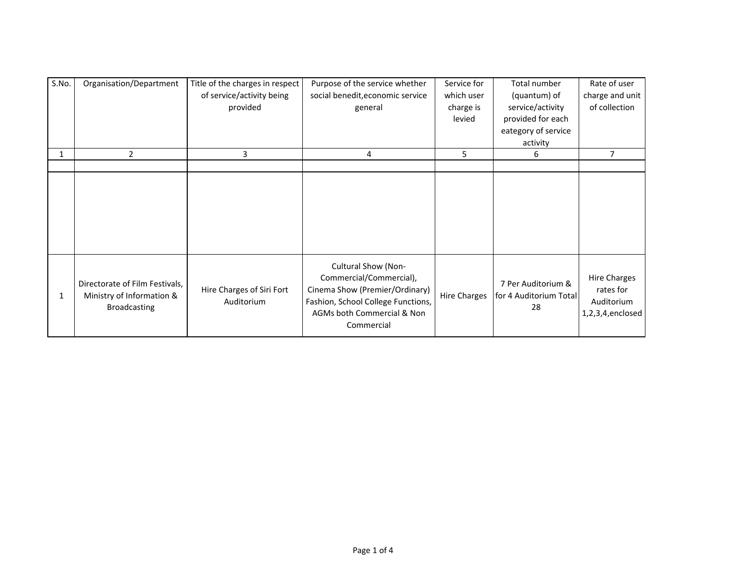| S.No. | Organisation/Department                                     | Title of the charges in respect         | Purpose of the service whether     | Service for         | Total number           | Rate of user        |
|-------|-------------------------------------------------------------|-----------------------------------------|------------------------------------|---------------------|------------------------|---------------------|
|       |                                                             | of service/activity being               | social benedit, economic service   | which user          | (quantum) of           | charge and unit     |
|       |                                                             | provided                                | general                            | charge is           | service/activity       | of collection       |
|       |                                                             |                                         |                                    | levied              | provided for each      |                     |
|       |                                                             |                                         |                                    |                     | eategory of service    |                     |
|       |                                                             |                                         |                                    |                     | activity               |                     |
| -1    | 2                                                           | 3                                       | 4                                  | 5.                  | 6                      | $\overline{7}$      |
|       |                                                             |                                         |                                    |                     |                        |                     |
|       |                                                             |                                         |                                    |                     |                        |                     |
|       |                                                             |                                         |                                    |                     |                        |                     |
|       |                                                             |                                         |                                    |                     |                        |                     |
|       |                                                             |                                         |                                    |                     |                        |                     |
|       |                                                             |                                         |                                    |                     |                        |                     |
|       |                                                             |                                         |                                    |                     |                        |                     |
|       |                                                             |                                         |                                    |                     |                        |                     |
|       |                                                             |                                         | Cultural Show (Non-                |                     |                        |                     |
|       |                                                             |                                         | Commercial/Commercial),            |                     |                        | <b>Hire Charges</b> |
| 1     | Directorate of Film Festivals,<br>Ministry of Information & | Hire Charges of Siri Fort<br>Auditorium | Cinema Show (Premier/Ordinary)     |                     | 7 Per Auditorium &     | rates for           |
|       |                                                             |                                         | Fashion, School College Functions, | <b>Hire Charges</b> | for 4 Auditorium Total | Auditorium          |
|       | <b>Broadcasting</b>                                         |                                         | AGMs both Commercial & Non         |                     | 28                     | $1,2,3,4,$ enclosed |
|       |                                                             |                                         | Commercial                         |                     |                        |                     |
|       |                                                             |                                         |                                    |                     |                        |                     |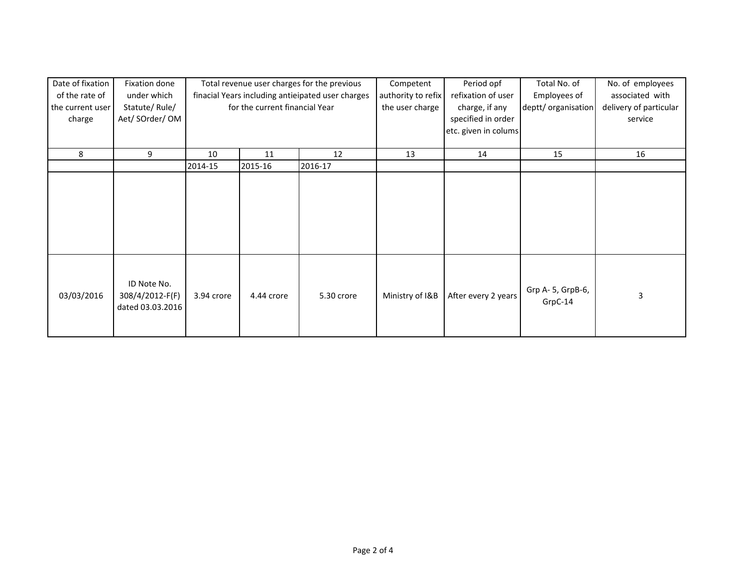| Date of fixation | Fixation done    | Total revenue user charges for the previous       |            | Competent  | Period opf         | Total No. of         | No. of employees    |                        |
|------------------|------------------|---------------------------------------------------|------------|------------|--------------------|----------------------|---------------------|------------------------|
| of the rate of   | under which      | finacial Years including antieipated user charges |            |            | authority to refix | refixation of user   | Employees of        | associated with        |
| the current user | Statute/Rule/    | for the current financial Year                    |            |            | the user charge    | charge, if any       | deptt/ organisation | delivery of particular |
| charge           | Aet/ SOrder/ OM  |                                                   |            |            |                    | specified in order   |                     | service                |
|                  |                  |                                                   |            |            |                    | etc. given in colums |                     |                        |
|                  |                  |                                                   |            |            |                    |                      |                     |                        |
| 8                | 9                | 10                                                | 11         | 12         | 13                 | 14                   | 15                  | 16                     |
|                  |                  | 2014-15                                           | 2015-16    | 2016-17    |                    |                      |                     |                        |
|                  |                  |                                                   |            |            |                    |                      |                     |                        |
|                  |                  |                                                   |            |            |                    |                      |                     |                        |
|                  |                  |                                                   |            |            |                    |                      |                     |                        |
|                  |                  |                                                   |            |            |                    |                      |                     |                        |
|                  |                  |                                                   |            |            |                    |                      |                     |                        |
|                  |                  |                                                   |            |            |                    |                      |                     |                        |
|                  |                  |                                                   |            |            |                    |                      |                     |                        |
|                  |                  |                                                   |            |            |                    |                      |                     |                        |
|                  |                  |                                                   |            |            |                    |                      |                     |                        |
|                  | ID Note No.      |                                                   |            |            |                    |                      |                     |                        |
| 03/03/2016       | 308/4/2012-F(F)  | 3.94 crore                                        | 4.44 crore | 5.30 crore | Ministry of I&B    | After every 2 years  | Grp A- 5, GrpB-6,   | 3                      |
|                  | dated 03.03.2016 |                                                   |            |            |                    |                      | GrpC-14             |                        |
|                  |                  |                                                   |            |            |                    |                      |                     |                        |
|                  |                  |                                                   |            |            |                    |                      |                     |                        |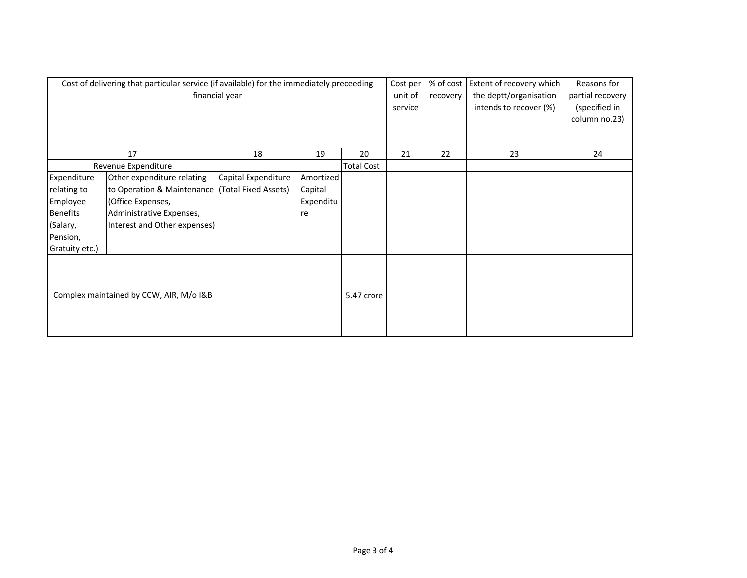| Cost of delivering that particular service (if available) for the immediately preceeding<br>financial year |                                                                                                                                                                |                     |                                         |                   | Cost per<br>unit of<br>service | % of cost<br>recovery | Extent of recovery which<br>the deptt/organisation<br>intends to recover (%) | Reasons for<br>partial recovery<br>(specified in<br>column no.23) |
|------------------------------------------------------------------------------------------------------------|----------------------------------------------------------------------------------------------------------------------------------------------------------------|---------------------|-----------------------------------------|-------------------|--------------------------------|-----------------------|------------------------------------------------------------------------------|-------------------------------------------------------------------|
|                                                                                                            | 17                                                                                                                                                             | 18                  | 19                                      | 20                | 21                             | 22                    | 23                                                                           | 24                                                                |
|                                                                                                            | Revenue Expenditure                                                                                                                                            |                     |                                         | <b>Total Cost</b> |                                |                       |                                                                              |                                                                   |
| Expenditure<br>relating to<br>Employee<br><b>Benefits</b><br>(Salary,<br>Pension,<br>Gratuity etc.)        | Other expenditure relating<br>to Operation & Maintenance (Total Fixed Assets)<br>(Office Expenses,<br>Administrative Expenses,<br>Interest and Other expenses) | Capital Expenditure | Amortized<br>Capital<br>Expenditu<br>re |                   |                                |                       |                                                                              |                                                                   |
| Complex maintained by CCW, AIR, M/o I&B                                                                    |                                                                                                                                                                |                     |                                         | 5.47 crore        |                                |                       |                                                                              |                                                                   |